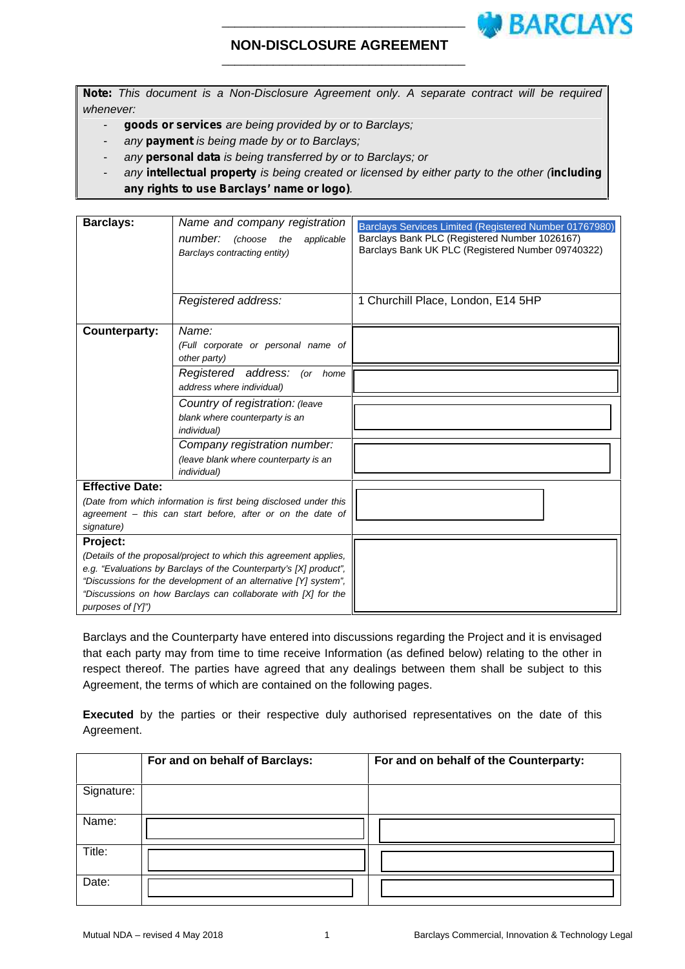# \_\_\_\_\_\_\_\_\_\_\_\_\_\_\_\_\_\_\_\_\_\_\_\_\_\_\_\_\_\_\_\_\_\_\_\_\_\_

# **NON-DISCLOSURE AGREEMENT**

\_\_\_\_\_\_\_\_\_\_\_\_\_\_\_\_\_\_\_\_\_\_\_\_\_\_\_\_\_\_\_\_\_\_\_\_\_\_

*Note: This document is a Non-Disclosure Agreement only. A separate contract will be required whenever:*

- *goods or services are being provided by or to Barclays;*
- *any payment is being made by or to Barclays;*
- *any personal data is being transferred by or to Barclays; or*
- *any intellectual property is being created or licensed by either party to the other (including any rights to use Barclays' name or logo).*

| <b>Barclays:</b>                                                                                                                                                                                                                                                                                                                                                                                | Name and company registration<br>number:<br>(choose<br>the<br>applicable<br>Barclays contracting entity)                                                                                                                                                                                                         | Barclays Services Limited (Registered Number 01767980)<br>Barclays Bank PLC (Registered Number 1026167)<br>Barclays Bank UK PLC (Registered Number 09740322) |
|-------------------------------------------------------------------------------------------------------------------------------------------------------------------------------------------------------------------------------------------------------------------------------------------------------------------------------------------------------------------------------------------------|------------------------------------------------------------------------------------------------------------------------------------------------------------------------------------------------------------------------------------------------------------------------------------------------------------------|--------------------------------------------------------------------------------------------------------------------------------------------------------------|
|                                                                                                                                                                                                                                                                                                                                                                                                 | Registered address:                                                                                                                                                                                                                                                                                              | 1 Churchill Place, London, E14 5HP                                                                                                                           |
| <b>Counterparty:</b>                                                                                                                                                                                                                                                                                                                                                                            | Name:<br>(Full corporate or personal name of<br>other party)<br>Registered address:<br>(or home<br>address where individual)<br>Country of registration: (leave<br>blank where counterparty is an<br>individual)<br>Company registration number:<br>(leave blank where counterparty is an<br><i>individual</i> ) |                                                                                                                                                              |
| <b>Effective Date:</b><br>(Date from which information is first being disclosed under this<br>agreement – this can start before, after or on the date of<br>signature)<br>Project:<br>(Details of the proposal/project to which this agreement applies,<br>e.g. "Evaluations by Barclays of the Counterparty's [X] product",<br>"Discussions for the development of an alternative [Y] system", |                                                                                                                                                                                                                                                                                                                  |                                                                                                                                                              |
| "Discussions on how Barclays can collaborate with [X] for the<br>purposes of [Y]")                                                                                                                                                                                                                                                                                                              |                                                                                                                                                                                                                                                                                                                  |                                                                                                                                                              |

Barclays and the Counterparty have entered into discussions regarding the Project and it is envisaged that each party may from time to time receive Information (as defined below) relating to the other in respect thereof. The parties have agreed that any dealings between them shall be subject to this Agreement, the terms of which are contained on the following pages.

**Executed** by the parties or their respective duly authorised representatives on the date of this Agreement.

|            | For and on behalf of Barclays: | For and on behalf of the Counterparty: |
|------------|--------------------------------|----------------------------------------|
| Signature: |                                |                                        |
| Name:      |                                |                                        |
| Title:     |                                |                                        |
| Date:      |                                |                                        |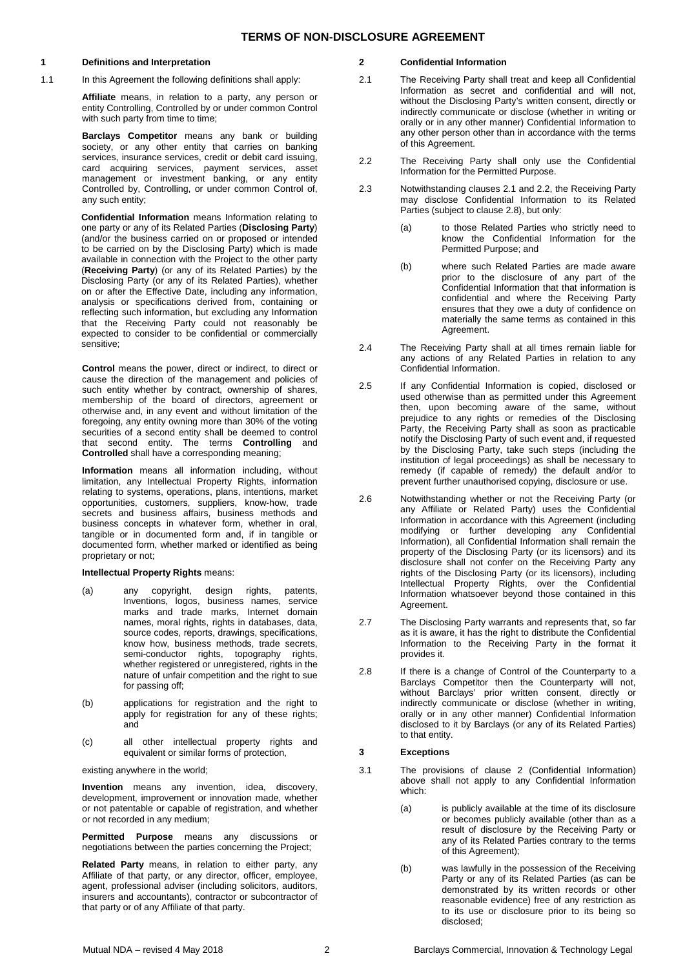#### **1 Definitions and Interpretation**

1.1 In this Agreement the following definitions shall apply:

**Affiliate** means, in relation to a party, any person or entity Controlling, Controlled by or under common Control with such party from time to time;

**Barclays Competitor** means any bank or building society, or any other entity that carries on banking services, insurance services, credit or debit card issuing, card acquiring services, payment services, asset management or investment banking, or any entity Controlled by, Controlling, or under common Control of, any such entity;

**Confidential Information** means Information relating to one party or any of its Related Parties (**Disclosing Party**) (and/or the business carried on or proposed or intended to be carried on by the Disclosing Party) which is made available in connection with the Project to the other party (**Receiving Party**) (or any of its Related Parties) by the Disclosing Party (or any of its Related Parties), whether on or after the Effective Date, including any information, analysis or specifications derived from, containing or reflecting such information, but excluding any Information that the Receiving Party could not reasonably be expected to consider to be confidential or commercially sensitive;

**Control** means the power, direct or indirect, to direct or cause the direction of the management and policies of such entity whether by contract, ownership of shares, membership of the board of directors, agreement or otherwise and, in any event and without limitation of the foregoing, any entity owning more than 30% of the voting securities of a second entity shall be deemed to control that second entity. The terms **Controlling** and **Controlled** shall have a corresponding meaning;

**Information** means all information including, without limitation, any Intellectual Property Rights, information relating to systems, operations, plans, intentions, market opportunities, customers, suppliers, know-how, trade secrets and business affairs, business methods and business concepts in whatever form, whether in oral, tangible or in documented form and, if in tangible or documented form, whether marked or identified as being proprietary or not;

### **Intellectual Property Rights** means:

- (a) any copyright, design rights, patents, Inventions, logos, business names, service marks and trade marks, Internet domain names, moral rights, rights in databases, data, source codes, reports, drawings, specifications, know how, business methods, trade secrets, semi-conductor rights, topography rights, whether registered or unregistered, rights in the nature of unfair competition and the right to sue for passing off;
- (b) applications for registration and the right to apply for registration for any of these rights; and
- (c) all other intellectual property rights and equivalent or similar forms of protection,

existing anywhere in the world;

**Invention** means any invention, idea, discovery, development, improvement or innovation made, whether or not patentable or capable of registration, and whether or not recorded in any medium;

**Permitted Purpose** means any discussions or negotiations between the parties concerning the Project;

**Related Party** means, in relation to either party, any Affiliate of that party, or any director, officer, employee, agent, professional adviser (including solicitors, auditors, insurers and accountants), contractor or subcontractor of that party or of any Affiliate of that party.

### **2 Confidential Information**

- 2.1 The Receiving Party shall treat and keep all Confidential Information as secret and confidential and will not, without the Disclosing Party's written consent, directly or indirectly communicate or disclose (whether in writing or orally or in any other manner) Confidential Information to any other person other than in accordance with the terms of this Agreement.
- 2.2 The Receiving Party shall only use the Confidential Information for the Permitted Purpose.
- 2.3 Notwithstanding clauses 2.1 and 2.2, the Receiving Party may disclose Confidential Information to its Related Parties (subject to clause 2.8), but only:
	- (a) to those Related Parties who strictly need to know the Confidential Information for the Permitted Purpose; and
	- (b) where such Related Parties are made aware prior to the disclosure of any part of the Confidential Information that that information is confidential and where the Receiving Party ensures that they owe a duty of confidence on materially the same terms as contained in this Agreement.
- 2.4 The Receiving Party shall at all times remain liable for any actions of any Related Parties in relation to any Confidential Information.
- 2.5 If any Confidential Information is copied, disclosed or used otherwise than as permitted under this Agreement then, upon becoming aware of the same, without prejudice to any rights or remedies of the Disclosing Party, the Receiving Party shall as soon as practicable notify the Disclosing Party of such event and, if requested by the Disclosing Party, take such steps (including the institution of legal proceedings) as shall be necessary to remedy (if capable of remedy) the default and/or to prevent further unauthorised copying, disclosure or use.
- 2.6 Notwithstanding whether or not the Receiving Party (or any Affiliate or Related Party) uses the Confidential Information in accordance with this Agreement (including modifying or further developing any Confidential Information), all Confidential Information shall remain the property of the Disclosing Party (or its licensors) and its disclosure shall not confer on the Receiving Party any rights of the Disclosing Party (or its licensors), including Intellectual Property Rights, over the Confidential Information whatsoever beyond those contained in this Agreement
- 2.7 The Disclosing Party warrants and represents that, so far as it is aware, it has the right to distribute the Confidential Information to the Receiving Party in the format it provides it.
- 2.8 If there is a change of Control of the Counterparty to a Barclays Competitor then the Counterparty will not. without Barclays' prior written consent, directly or indirectly communicate or disclose (whether in writing, orally or in any other manner) Confidential Information disclosed to it by Barclays (or any of its Related Parties) to that entity.

# **3 Exceptions**

- 3.1 The provisions of clause 2 (Confidential Information) above shall not apply to any Confidential Information which:
	- (a) is publicly available at the time of its disclosure or becomes publicly available (other than as a result of disclosure by the Receiving Party or any of its Related Parties contrary to the terms of this Agreement);
	- (b) was lawfully in the possession of the Receiving Party or any of its Related Parties (as can be demonstrated by its written records or other reasonable evidence) free of any restriction as to its use or disclosure prior to its being so disclosed;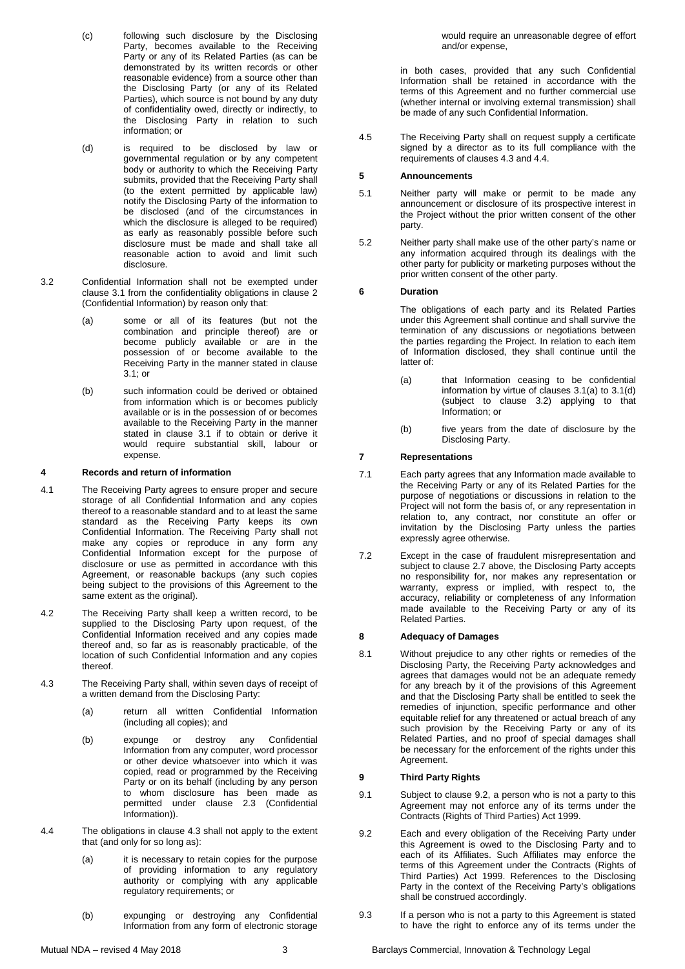- (c) following such disclosure by the Disclosing Party, becomes available to the Receiving Party or any of its Related Parties (as can be demonstrated by its written records or other reasonable evidence) from a source other than the Disclosing Party (or any of its Related Parties), which source is not bound by any duty of confidentiality owed, directly or indirectly, to the Disclosing Party in relation to such information; or
- (d) is required to be disclosed by law or governmental regulation or by any competent body or authority to which the Receiving Party submits, provided that the Receiving Party shall (to the extent permitted by applicable law) notify the Disclosing Party of the information to be disclosed (and of the circumstances in which the disclosure is alleged to be required) as early as reasonably possible before such disclosure must be made and shall take all reasonable action to avoid and limit such disclosure.
- 3.2 Confidential Information shall not be exempted under clause 3.1 from the confidentiality obligations in clause 2 (Confidential Information) by reason only that:
	- (a) some or all of its features (but not the combination and principle thereof) are or become publicly available or are in the possession of or become available to the Receiving Party in the manner stated in clause 3.1; or
	- (b) such information could be derived or obtained from information which is or becomes publicly available or is in the possession of or becomes available to the Receiving Party in the manner stated in clause 3.1 if to obtain or derive it would require substantial skill, labour or expense.

#### **4 Records and return of information**

- 4.1 The Receiving Party agrees to ensure proper and secure storage of all Confidential Information and any copies thereof to a reasonable standard and to at least the same standard as the Receiving Party keeps its own Confidential Information. The Receiving Party shall not make any copies or reproduce in any form any Confidential Information except for the purpose of disclosure or use as permitted in accordance with this Agreement, or reasonable backups (any such copies being subject to the provisions of this Agreement to the same extent as the original).
- 4.2 The Receiving Party shall keep a written record, to be supplied to the Disclosing Party upon request, of the Confidential Information received and any copies made thereof and, so far as is reasonably practicable, of the location of such Confidential Information and any copies thereof.
- 4.3 The Receiving Party shall, within seven days of receipt of a written demand from the Disclosing Party:
	- (a) return all written Confidential Information (including all copies); and
	- (b) expunge or destroy any Confidential Information from any computer, word processor or other device whatsoever into which it was copied, read or programmed by the Receiving Party or on its behalf (including by any person to whom disclosure has been made as permitted under clause 2.3 (Confidential Information)).
- 4.4 The obligations in clause 4.3 shall not apply to the extent that (and only for so long as):
	- (a) it is necessary to retain copies for the purpose of providing information to any regulatory authority or complying with any applicable regulatory requirements; or
	- (b) expunging or destroying any Confidential Information from any form of electronic storage

would require an unreasonable degree of effort and/or expense,

in both cases, provided that any such Confidential Information shall be retained in accordance with the terms of this Agreement and no further commercial use (whether internal or involving external transmission) shall be made of any such Confidential Information.

4.5 The Receiving Party shall on request supply a certificate signed by a director as to its full compliance with the requirements of clauses 4.3 and 4.4.

# **5 Announcements**

- 5.1 Neither party will make or permit to be made any announcement or disclosure of its prospective interest in the Project without the prior written consent of the other party.
- 5.2 Neither party shall make use of the other party's name or any information acquired through its dealings with the other party for publicity or marketing purposes without the prior written consent of the other party.

# **6 Duration**

The obligations of each party and its Related Parties under this Agreement shall continue and shall survive the termination of any discussions or negotiations between the parties regarding the Project. In relation to each item of Information disclosed, they shall continue until the latter of:

- (a) that Information ceasing to be confidential information by virtue of clauses 3.1(a) to 3.1(d) (subject to clause 3.2) applying to that Information; or
- (b) five years from the date of disclosure by the Disclosing Party.

# **7 Representations**

- 7.1 Each party agrees that any Information made available to the Receiving Party or any of its Related Parties for the purpose of negotiations or discussions in relation to the Project will not form the basis of, or any representation in relation to, any contract, nor constitute an offer or invitation by the Disclosing Party unless the parties expressly agree otherwise.
- 7.2 Except in the case of fraudulent misrepresentation and subject to clause 2.7 above, the Disclosing Party accepts no responsibility for, nor makes any representation or warranty, express or implied, with respect to, the accuracy, reliability or completeness of any Information made available to the Receiving Party or any of its Related Parties.

### **8 Adequacy of Damages**

8.1 Without prejudice to any other rights or remedies of the Disclosing Party, the Receiving Party acknowledges and agrees that damages would not be an adequate remedy for any breach by it of the provisions of this Agreement and that the Disclosing Party shall be entitled to seek the remedies of injunction, specific performance and other equitable relief for any threatened or actual breach of any such provision by the Receiving Party or any of its Related Parties, and no proof of special damages shall be necessary for the enforcement of the rights under this Agreement.

### **9 Third Party Rights**

- 9.1 Subject to clause 9.2, a person who is not a party to this Agreement may not enforce any of its terms under the Contracts (Rights of Third Parties) Act 1999.
- 9.2 Each and every obligation of the Receiving Party under this Agreement is owed to the Disclosing Party and to each of its Affiliates. Such Affiliates may enforce the terms of this Agreement under the Contracts (Rights of Third Parties) Act 1999. References to the Disclosing Party in the context of the Receiving Party's obligations shall be construed accordingly.
- 9.3 If a person who is not a party to this Agreement is stated to have the right to enforce any of its terms under the